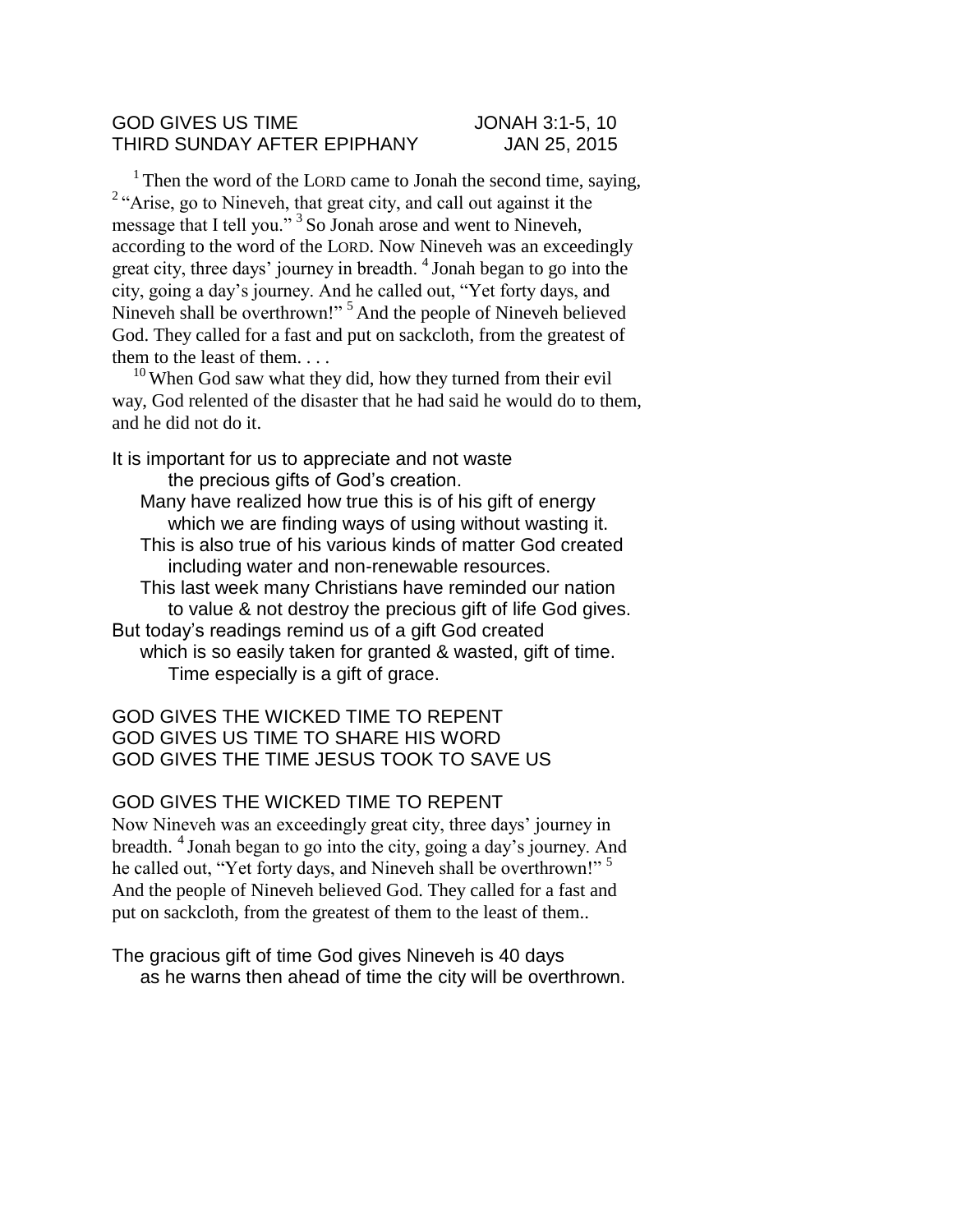## GOD GIVES US TIME JONAH 3:1-5, 10 THIRD SUNDAY AFTER EPIPHANY JAN 25, 2015

<sup>1</sup> Then the word of the LORD came to Jonah the second time, saying, <sup>2</sup> "Arise, go to Nineveh, that great city, and call out against it the message that I tell you."<sup>3</sup> So Jonah arose and went to Nineveh, according to the word of the LORD. Now Nineveh was an exceedingly great city, three days' journey in breadth. <sup>4</sup>Jonah began to go into the city, going a day's journey. And he called out, "Yet forty days, and Nineveh shall be overthrown!"<sup>5</sup> And the people of Nineveh believed God. They called for a fast and put on sackcloth, from the greatest of them to the least of them. . . .

 $10$  When God saw what they did, how they turned from their evil way, God relented of the disaster that he had said he would do to them, and he did not do it.

It is important for us to appreciate and not waste the precious gifts of God's creation. Many have realized how true this is of his gift of energy which we are finding ways of using without wasting it. This is also true of his various kinds of matter God created including water and non-renewable resources. This last week many Christians have reminded our nation to value & not destroy the precious gift of life God gives. But today's readings remind us of a gift God created which is so easily taken for granted & wasted, gift of time. Time especially is a gift of grace.

GOD GIVES THE WICKED TIME TO REPENT GOD GIVES US TIME TO SHARE HIS WORD GOD GIVES THE TIME JESUS TOOK TO SAVE US

## GOD GIVES THE WICKED TIME TO REPENT

Now Nineveh was an exceedingly great city, three days' journey in breadth. <sup>4</sup>Jonah began to go into the city, going a day's journey. And he called out, "Yet forty days, and Nineveh shall be overthrown!"<sup>5</sup> And the people of Nineveh believed God. They called for a fast and put on sackcloth, from the greatest of them to the least of them..

The gracious gift of time God gives Nineveh is 40 days as he warns then ahead of time the city will be overthrown.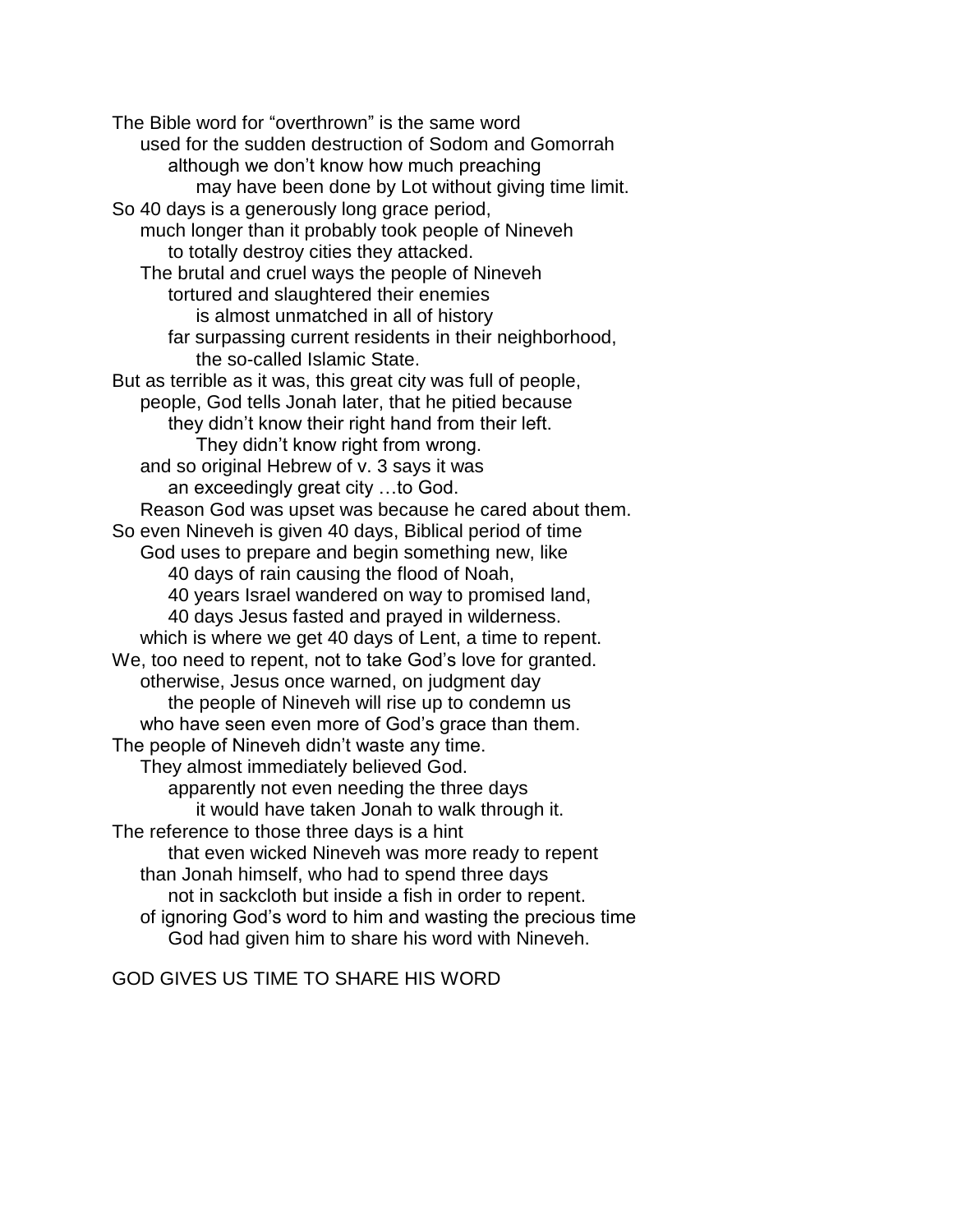The Bible word for "overthrown" is the same word used for the sudden destruction of Sodom and Gomorrah although we don't know how much preaching may have been done by Lot without giving time limit. So 40 days is a generously long grace period, much longer than it probably took people of Nineveh to totally destroy cities they attacked. The brutal and cruel ways the people of Nineveh tortured and slaughtered their enemies is almost unmatched in all of history far surpassing current residents in their neighborhood, the so-called Islamic State. But as terrible as it was, this great city was full of people, people, God tells Jonah later, that he pitied because they didn't know their right hand from their left. They didn't know right from wrong. and so original Hebrew of v. 3 says it was an exceedingly great city …to God. Reason God was upset was because he cared about them. So even Nineveh is given 40 days, Biblical period of time God uses to prepare and begin something new, like 40 days of rain causing the flood of Noah, 40 years Israel wandered on way to promised land, 40 days Jesus fasted and prayed in wilderness. which is where we get 40 days of Lent, a time to repent. We, too need to repent, not to take God's love for granted. otherwise, Jesus once warned, on judgment day the people of Nineveh will rise up to condemn us who have seen even more of God's grace than them. The people of Nineveh didn't waste any time. They almost immediately believed God. apparently not even needing the three days it would have taken Jonah to walk through it. The reference to those three days is a hint that even wicked Nineveh was more ready to repent than Jonah himself, who had to spend three days not in sackcloth but inside a fish in order to repent. of ignoring God's word to him and wasting the precious time God had given him to share his word with Nineveh.

GOD GIVES US TIME TO SHARE HIS WORD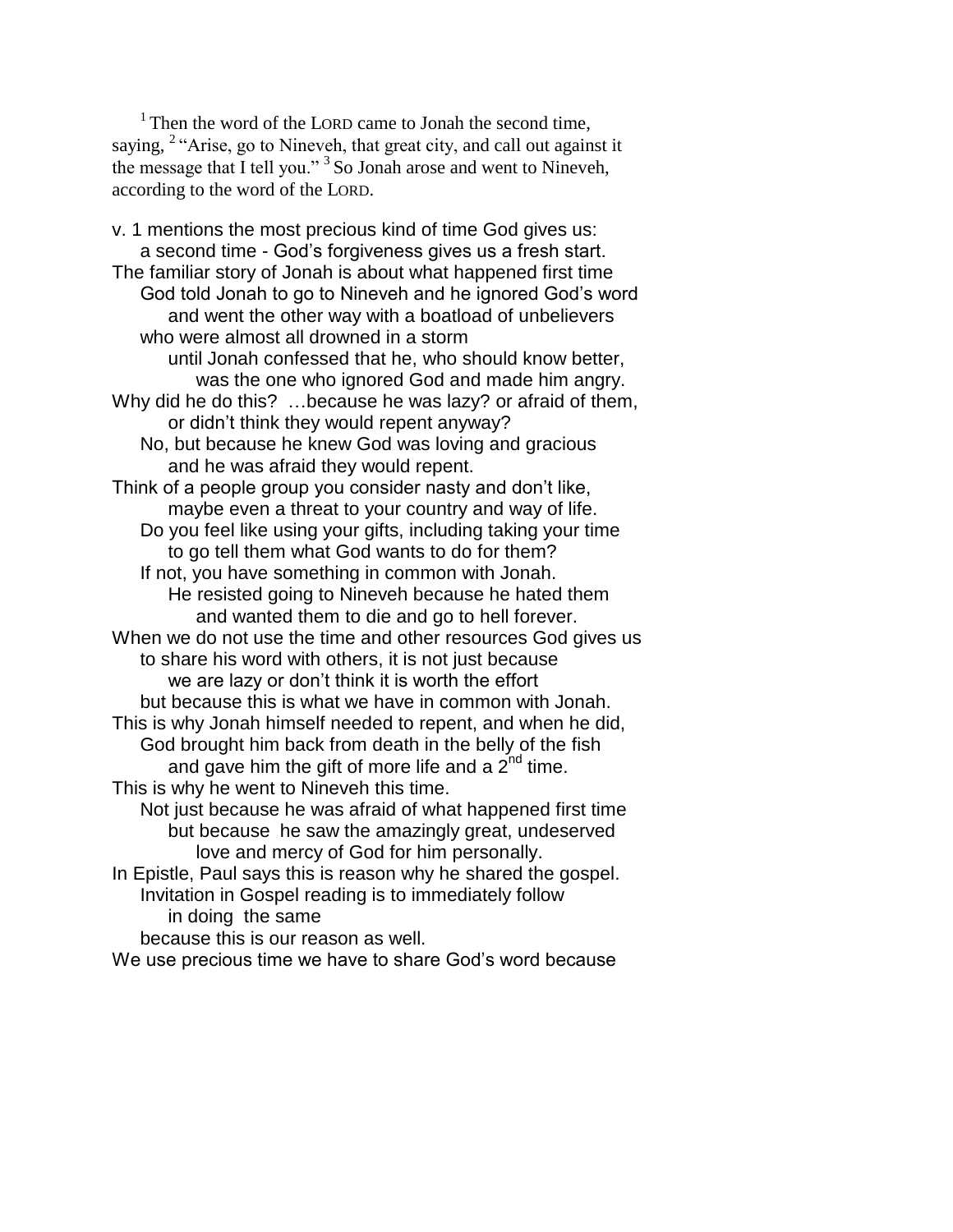$1$ <sup>1</sup> Then the word of the LORD came to Jonah the second time, saying, <sup>2</sup> "Arise, go to Nineveh, that great city, and call out against it the message that I tell you."<sup>3</sup> So Jonah arose and went to Nineveh, according to the word of the LORD.

v. 1 mentions the most precious kind of time God gives us: a second time - God's forgiveness gives us a fresh start. The familiar story of Jonah is about what happened first time God told Jonah to go to Nineveh and he ignored God's word and went the other way with a boatload of unbelievers who were almost all drowned in a storm until Jonah confessed that he, who should know better, was the one who ignored God and made him angry. Why did he do this? …because he was lazy? or afraid of them, or didn't think they would repent anyway? No, but because he knew God was loving and gracious and he was afraid they would repent. Think of a people group you consider nasty and don't like, maybe even a threat to your country and way of life. Do you feel like using your gifts, including taking your time to go tell them what God wants to do for them? If not, you have something in common with Jonah. He resisted going to Nineveh because he hated them and wanted them to die and go to hell forever. When we do not use the time and other resources God gives us to share his word with others, it is not just because we are lazy or don't think it is worth the effort but because this is what we have in common with Jonah. This is why Jonah himself needed to repent, and when he did, God brought him back from death in the belly of the fish and gave him the gift of more life and a  $2^{nd}$  time. This is why he went to Nineveh this time. Not just because he was afraid of what happened first time but because he saw the amazingly great, undeserved love and mercy of God for him personally. In Epistle, Paul says this is reason why he shared the gospel. Invitation in Gospel reading is to immediately follow in doing the same because this is our reason as well.

We use precious time we have to share God's word because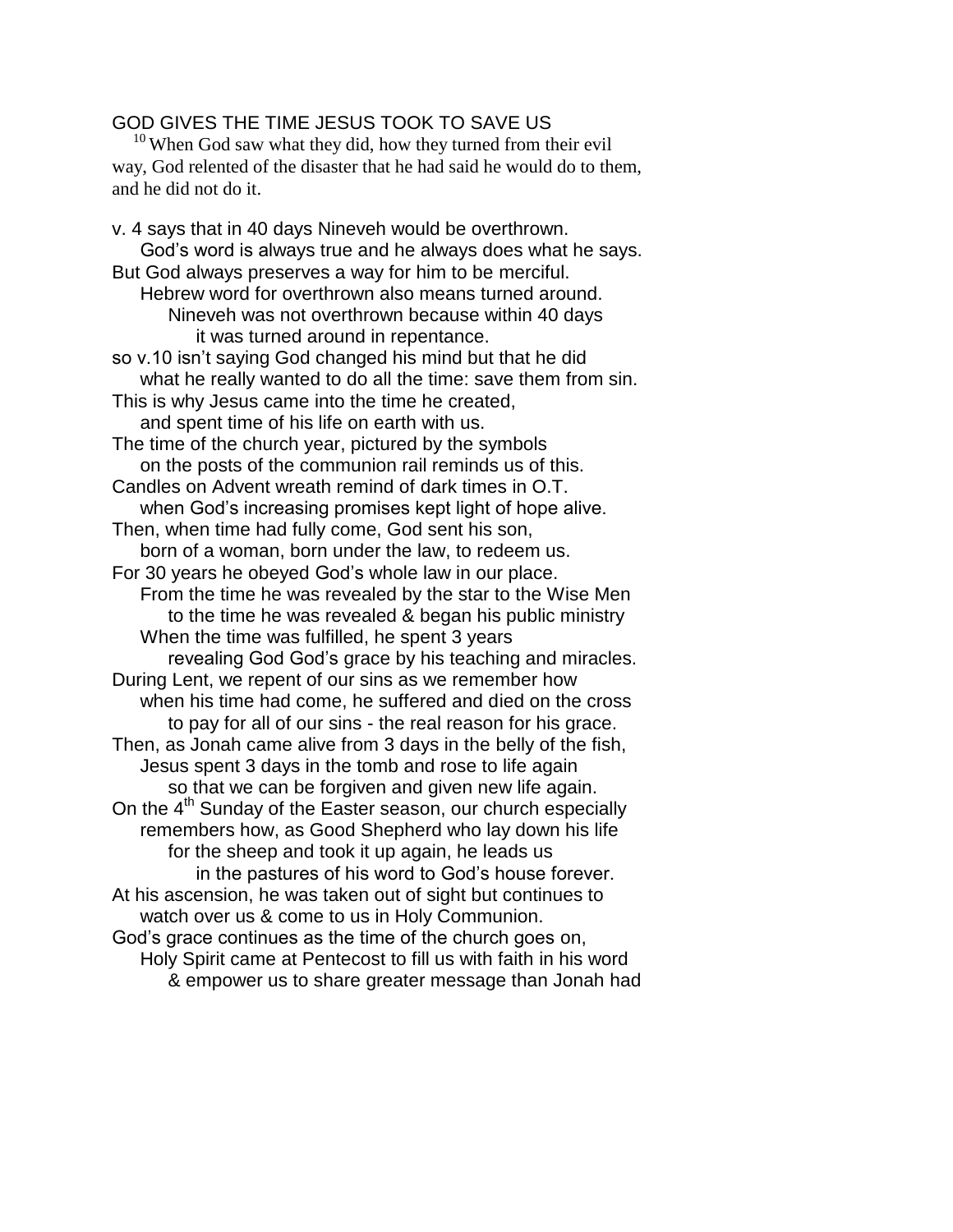## GOD GIVES THE TIME JESUS TOOK TO SAVE US

 $10$  When God saw what they did, how they turned from their evil way, God relented of the disaster that he had said he would do to them, and he did not do it.

v. 4 says that in 40 days Nineveh would be overthrown. God's word is always true and he always does what he says. But God always preserves a way for him to be merciful. Hebrew word for overthrown also means turned around. Nineveh was not overthrown because within 40 days it was turned around in repentance. so v.10 isn't saying God changed his mind but that he did what he really wanted to do all the time: save them from sin. This is why Jesus came into the time he created, and spent time of his life on earth with us. The time of the church year, pictured by the symbols on the posts of the communion rail reminds us of this. Candles on Advent wreath remind of dark times in O.T. when God's increasing promises kept light of hope alive. Then, when time had fully come, God sent his son, born of a woman, born under the law, to redeem us. For 30 years he obeyed God's whole law in our place. From the time he was revealed by the star to the Wise Men to the time he was revealed & began his public ministry When the time was fulfilled, he spent 3 years revealing God God's grace by his teaching and miracles. During Lent, we repent of our sins as we remember how when his time had come, he suffered and died on the cross to pay for all of our sins - the real reason for his grace. Then, as Jonah came alive from 3 days in the belly of the fish, Jesus spent 3 days in the tomb and rose to life again so that we can be forgiven and given new life again. On the 4<sup>th</sup> Sunday of the Easter season, our church especially remembers how, as Good Shepherd who lay down his life for the sheep and took it up again, he leads us in the pastures of his word to God's house forever. At his ascension, he was taken out of sight but continues to watch over us & come to us in Holy Communion. God's grace continues as the time of the church goes on, Holy Spirit came at Pentecost to fill us with faith in his word & empower us to share greater message than Jonah had